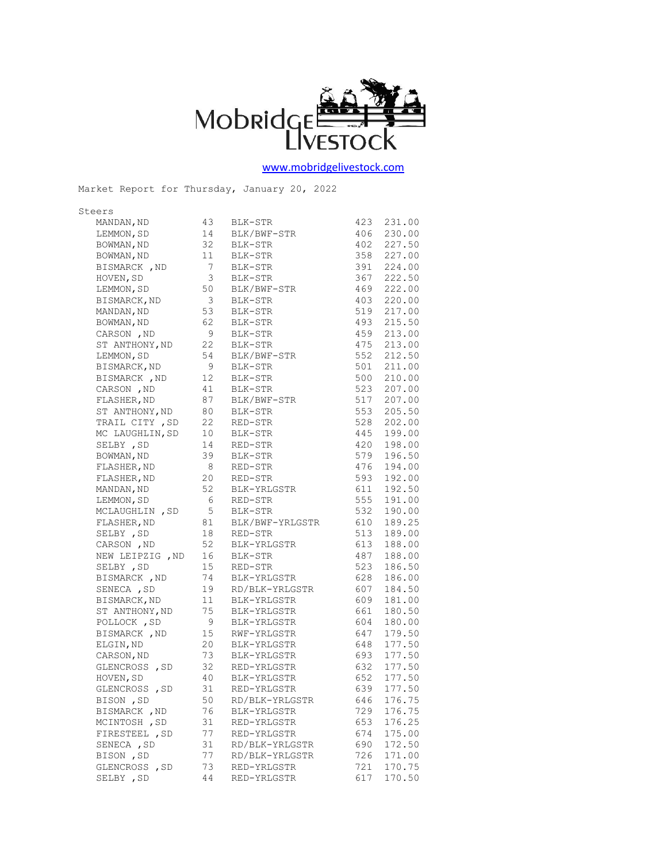

[www.mobridgelivestock.com](http://www.mobridgelivestock.com/)

| Steers<br>MANDAN, ND | 43                      | BLK-STR                          | 423 | 231.00     |
|----------------------|-------------------------|----------------------------------|-----|------------|
| LEMMON, SD           | 14                      | BLK/BWF-STR                      |     | 406 230.00 |
| BOWMAN, ND           | 32                      | BLK-STR                          |     | 402 227.50 |
| BOWMAN, ND           | 11                      | BLK-STR                          | 358 | 227.00     |
| BISMARCK, ND         | $\overline{7}$          | BLK-STR                          |     | 391 224.00 |
| HOVEN, SD            | 3                       | BLK-STR                          | 367 | 222.50     |
| LEMMON, SD           | 50                      | BLK/BWF-STR                      | 469 | 222.00     |
| BISMARCK, ND         | $\overline{\mathbf{3}}$ | BLK-STR                          | 403 | 220.00     |
| MANDAN, ND           | 53                      | BLK-STR                          | 519 | 217.00     |
| BOWMAN, ND           | 62                      | BLK-STR                          | 493 | 215.50     |
| CARSON, ND           | 9                       | BLK-STR                          | 459 | 213.00     |
| ST ANTHONY, ND       | 22                      | BLK-STR                          |     | 475 213.00 |
| LEMMON, SD           | 54                      | BLK/BWF-STR                      | 552 | 212.50     |
| BISMARCK, ND         | - 9                     | BLK-STR                          | 501 | 211.00     |
| BISMARCK, ND         | 12                      | BLK-STR                          |     | 500 210.00 |
| CARSON, ND           | 41                      | BLK-STR                          |     | 523 207.00 |
| FLASHER, ND          | 87                      | BLK/BWF-STR                      | 517 | 207.00     |
| ST ANTHONY, ND       | 80                      | BLK-STR                          | 553 | 205.50     |
| TRAIL CITY, SD       | 22                      | RED-STR                          | 528 | 202.00     |
| MC LAUGHLIN, SD      | 10                      | BLK-STR                          | 445 | 199.00     |
| SELBY , SD           | 14                      | RED-STR                          | 420 | 198.00     |
| BOWMAN, ND           | 39                      | BLK-STR                          |     | 579 196.50 |
| FLASHER, ND          | - 8                     | RED-STR                          | 476 | 194.00     |
| FLASHER, ND          | 20                      | RED-STR                          | 593 | 192.00     |
| MANDAN, ND           | 52                      | BLK-YRLGSTR                      | 611 | 192.50     |
| LEMMON, SD           | 6                       | RED-STR                          | 555 | 191.00     |
| MCLAUGHLIN, SD       | 5                       | BLK-STR                          | 532 | 190.00     |
| FLASHER, ND          | 81                      | BLK/BWF-YRLGSTR                  | 610 | 189.25     |
| SELBY , SD           | 18                      | RED-STR                          | 513 | 189.00     |
| CARSON, ND           | 52                      | BLK-YRLGSTR                      | 613 | 188.00     |
| NEW LEIPZIG , ND     | 16                      | BLK-STR                          | 487 | 188.00     |
| SELBY , SD           | 15                      | RED-STR                          | 523 | 186.50     |
| BISMARCK, ND         | 74                      | BLK-YRLGSTR                      | 628 | 186.00     |
| SENECA, SD           | 19                      | RD/BLK-YRLGSTR                   | 607 | 184.50     |
| BISMARCK, ND         | 11                      | BLK-YRLGSTR                      | 609 | 181.00     |
| ST ANTHONY, ND       | 75                      | BLK-YRLGSTR                      | 661 | 180.50     |
| POLLOCK, SD          | - 9                     | BLK-YRLGSTR                      | 604 | 180.00     |
| BISMARCK, ND         | 15                      | RWF-YRLGSTR                      | 647 | 179.50     |
| ELGIN, ND            | 20                      | BLK-YRLGSTR                      | 648 | 177.50     |
| CARSON, ND           |                         |                                  |     | 693 177.50 |
| GLENCROSS, SD        |                         | 73 BLK-YRLGSTR<br>32 RED-YRLGSTR | 632 | 177.50     |
| HOVEN, SD            | 40                      | BLK-YRLGSTR                      | 652 | 177.50     |
| GLENCROSS, SD        | 31                      | RED-YRLGSTR                      | 639 | 177.50     |
| BISON, SD            | 50                      | RD/BLK-YRLGSTR                   | 646 | 176.75     |
| BISMARCK, ND         | 76                      | BLK-YRLGSTR                      | 729 | 176.75     |
| MCINTOSH, SD         | 31                      | RED-YRLGSTR                      | 653 | 176.25     |
| FIRESTEEL , SD       | 77                      | RED-YRLGSTR                      | 674 | 175.00     |
| SENECA , SD          | 31                      | RD/BLK-YRLGSTR                   | 690 | 172.50     |
| BISON, SD            | 77                      | RD/BLK-YRLGSTR                   | 726 | 171.00     |
| GLENCROSS, SD        | 73                      | RED-YRLGSTR                      | 721 | 170.75     |
| SELBY , SD           | 44                      | RED-YRLGSTR                      | 617 | 170.50     |

Market Report for Thursday, January 20, 2022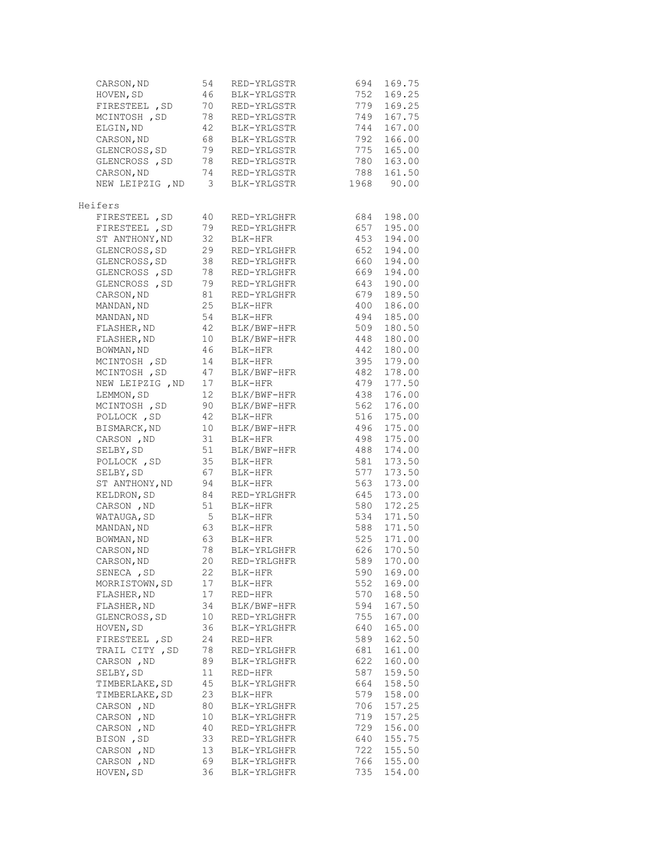| CARSON, ND               | 54                    | RED-YRLGSTR                | 694        | 169.75           |
|--------------------------|-----------------------|----------------------------|------------|------------------|
| HOVEN, SD                | 46                    | BLK-YRLGSTR                | 752        | 169.25           |
| FIRESTEEL, SD            | 70                    | RED-YRLGSTR                | 779        | 169.25           |
| MCINTOSH, SD             | 78                    | RED-YRLGSTR                | 749        | 167.75           |
| ELGIN, ND                | 42                    | BLK-YRLGSTR                | 744        | 167.00           |
| CARSON, ND               | 68                    | BLK-YRLGSTR                | 792        | 166.00           |
| GLENCROSS, SD            | 79                    | RED-YRLGSTR                | 775        | 165.00           |
| GLENCROSS, SD            | 78                    | RED-YRLGSTR                | 780        | 163.00           |
| CARSON, ND               | 74                    | RED-YRLGSTR                | 788        | 161.50           |
| NEW LEIPZIG , ND         | 3                     | BLK-YRLGSTR                | 1968       | 90.00            |
| Heifers                  |                       |                            |            |                  |
| FIRESTEEL, SD            | 40                    | RED-YRLGHFR                | 684        | 198.00           |
| FIRESTEEL , SD           | 79                    | RED-YRLGHFR                | 657        | 195.00           |
| ST ANTHONY, ND           | 32                    | BLK-HFR                    | 453        | 194.00           |
| GLENCROSS, SD            | 29                    | RED-YRLGHFR                | 652        | 194.00           |
| GLENCROSS, SD            | 38                    | RED-YRLGHFR                | 660        | 194.00           |
| GLENCROSS, SD            | 78                    | RED-YRLGHFR                | 669        | 194.00           |
| GLENCROSS, SD            | 79                    | RED-YRLGHFR                | 643        | 190.00           |
| CARSON, ND               | 81                    | RED-YRLGHFR                | 679        | 189.50           |
| MANDAN, ND               | 25                    | BLK-HFR                    | 400        | 186.00           |
| MANDAN, ND               | 54                    | BLK-HFR                    | 494        | 185.00           |
| FLASHER, ND              | 42                    | BLK/BWF-HFR                | 509        | 180.50           |
| FLASHER, ND              | 10                    | BLK/BWF-HFR                | 448        | 180.00           |
| BOWMAN, ND               | 46                    | BLK-HFR                    | 442        | 180.00           |
| MCINTOSH, SD             | 14                    | BLK-HFR                    | 395        | 179.00           |
| MCINTOSH , SD            | 47                    | BLK/BWF-HFR                | 482        | 178.00           |
| NEW LEIPZIG , ND         | 17                    | BLK-HFR                    | 479        | 177.50           |
| LEMMON, SD               | 12                    | BLK/BWF-HFR                | 438        | 176.00           |
| MCINTOSH, SD             | 90                    | BLK/BWF-HFR                | 562        | 176.00           |
| POLLOCK, SD              | 42                    | BLK-HFR                    | 516        | 175.00           |
| BISMARCK, ND             | 10                    | BLK/BWF-HFR                | 496        | 175.00           |
| CARSON, ND               | 31                    | BLK-HFR                    | 498        | 175.00           |
| SELBY, SD                | 51                    | BLK/BWF-HFR                | 488        | 174.00           |
| POLLOCK, SD              | 35                    | BLK-HFR                    | 581        | 173.50           |
| SELBY, SD                | 67                    | BLK-HFR                    | 577        | 173.50           |
| ST ANTHONY, ND           | 94                    | BLK-HFR                    | 563        | 173.00           |
| KELDRON, SD              | 84                    | RED-YRLGHFR                | 645        | 173.00           |
| CARSON, ND               | 51<br>$5\overline{)}$ | BLK-HFR                    | 580        | 172.25<br>171.50 |
| WATAUGA, SD              | 63                    | BLK-HFR<br>BLK-HFR         | 534<br>588 | 171.50           |
| MANDAN, ND               |                       |                            | 525        | 171.00           |
| BOWMAN, ND<br>CARSON, ND | 63<br>78              | BLK-HFR                    | 626        | 170.50           |
| CARSON, ND               | 20                    | BLK-YRLGHFR<br>RED-YRLGHFR | 589        | 170.00           |
| SENECA , SD              | 22                    | BLK-HFR                    | 590        | 169.00           |
| MORRISTOWN, SD           | 17                    | BLK-HFR                    | 552        | 169.00           |
| FLASHER, ND              | 17                    | RED-HFR                    | 570        | 168.50           |
| FLASHER, ND              | 34                    | BLK/BWF-HFR                | 594        | 167.50           |
| GLENCROSS, SD            | 10                    | RED-YRLGHFR                | 755        | 167.00           |
| HOVEN, SD                | 36                    | BLK-YRLGHFR                | 640        | 165.00           |
| FIRESTEEL , SD           | 24                    | RED-HFR                    | 589        | 162.50           |
| TRAIL CITY, SD           | 78                    | RED-YRLGHFR                | 681        | 161.00           |
| CARSON, ND               | 89                    | BLK-YRLGHFR                | 622        | 160.00           |
| SELBY, SD                | 11                    | RED-HFR                    | 587        | 159.50           |
| TIMBERLAKE, SD           | 45                    | BLK-YRLGHFR                | 664        | 158.50           |
| TIMBERLAKE, SD           | 23                    | BLK-HFR                    | 579        | 158.00           |
| CARSON, ND               | 80                    | BLK-YRLGHFR                | 706        | 157.25           |
| CARSON, ND               | 10                    | BLK-YRLGHFR                | 719        | 157.25           |
| CARSON, ND               | 40                    | RED-YRLGHFR                | 729        | 156.00           |
| BISON, SD                | 33                    | RED-YRLGHFR                | 640        | 155.75           |
| CARSON, ND               | 13                    | BLK-YRLGHFR                | 722        | 155.50           |
| CARSON, ND               | 69                    | BLK-YRLGHFR                | 766        | 155.00           |
| HOVEN, SD                | 36                    | BLK-YRLGHFR                | 735        | 154.00           |
|                          |                       |                            |            |                  |